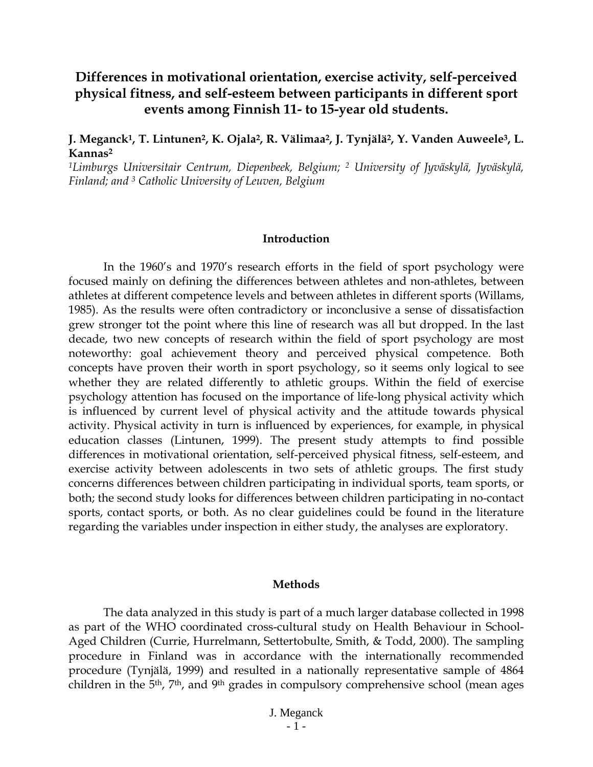# **Differences in motivational orientation, exercise activity, self-perceived physical fitness, and self-esteem between participants in different sport events among Finnish 11- to 15-year old students.**

### **J. Meganck1, T. Lintunen2, K. Ojala2, R. Välimaa2, J. Tynjälä2, Y. Vanden Auweele3, L. Kannas2**

*1Limburgs Universitair Centrum, Diepenbeek, Belgium; 2 University of Jyväskylä, Jyväskylä, Finland; and 3 Catholic University of Leuven, Belgium* 

#### **Introduction**

In the 1960's and 1970's research efforts in the field of sport psychology were focused mainly on defining the differences between athletes and non-athletes, between athletes at different competence levels and between athletes in different sports (Willams, 1985). As the results were often contradictory or inconclusive a sense of dissatisfaction grew stronger tot the point where this line of research was all but dropped. In the last decade, two new concepts of research within the field of sport psychology are most noteworthy: goal achievement theory and perceived physical competence. Both concepts have proven their worth in sport psychology, so it seems only logical to see whether they are related differently to athletic groups. Within the field of exercise psychology attention has focused on the importance of life-long physical activity which is influenced by current level of physical activity and the attitude towards physical activity. Physical activity in turn is influenced by experiences, for example, in physical education classes (Lintunen, 1999). The present study attempts to find possible differences in motivational orientation, self-perceived physical fitness, self-esteem, and exercise activity between adolescents in two sets of athletic groups. The first study concerns differences between children participating in individual sports, team sports, or both; the second study looks for differences between children participating in no-contact sports, contact sports, or both. As no clear guidelines could be found in the literature regarding the variables under inspection in either study, the analyses are exploratory.

#### **Methods**

The data analyzed in this study is part of a much larger database collected in 1998 as part of the WHO coordinated cross-cultural study on Health Behaviour in School-Aged Children (Currie, Hurrelmann, Settertobulte, Smith, & Todd, 2000). The sampling procedure in Finland was in accordance with the internationally recommended procedure (Tynjälä, 1999) and resulted in a nationally representative sample of 4864 children in the 5<sup>th</sup>, 7<sup>th</sup>, and 9<sup>th</sup> grades in compulsory comprehensive school (mean ages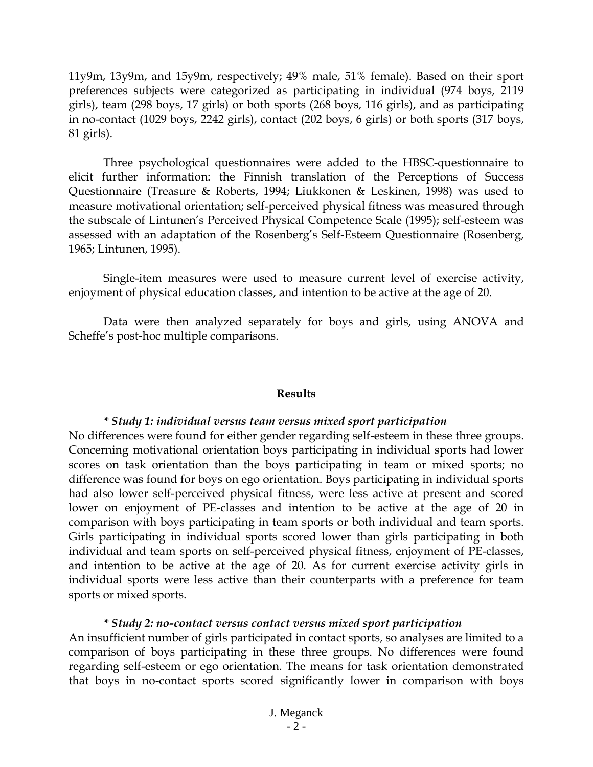11y9m, 13y9m, and 15y9m, respectively; 49% male, 51% female). Based on their sport preferences subjects were categorized as participating in individual (974 boys, 2119 girls), team (298 boys, 17 girls) or both sports (268 boys, 116 girls), and as participating in no-contact (1029 boys, 2242 girls), contact (202 boys, 6 girls) or both sports (317 boys, 81 girls).

Three psychological questionnaires were added to the HBSC-questionnaire to elicit further information: the Finnish translation of the Perceptions of Success Questionnaire (Treasure & Roberts, 1994; Liukkonen & Leskinen, 1998) was used to measure motivational orientation; self-perceived physical fitness was measured through the subscale of Lintunen's Perceived Physical Competence Scale (1995); self-esteem was assessed with an adaptation of the Rosenberg's Self-Esteem Questionnaire (Rosenberg, 1965; Lintunen, 1995).

Single-item measures were used to measure current level of exercise activity, enjoyment of physical education classes, and intention to be active at the age of 20.

Data were then analyzed separately for boys and girls, using ANOVA and Scheffe's post-hoc multiple comparisons.

#### **Results**

#### *\* Study 1: individual versus team versus mixed sport participation*

No differences were found for either gender regarding self-esteem in these three groups. Concerning motivational orientation boys participating in individual sports had lower scores on task orientation than the boys participating in team or mixed sports; no difference was found for boys on ego orientation. Boys participating in individual sports had also lower self-perceived physical fitness, were less active at present and scored lower on enjoyment of PE-classes and intention to be active at the age of 20 in comparison with boys participating in team sports or both individual and team sports. Girls participating in individual sports scored lower than girls participating in both individual and team sports on self-perceived physical fitness, enjoyment of PE-classes, and intention to be active at the age of 20. As for current exercise activity girls in individual sports were less active than their counterparts with a preference for team sports or mixed sports.

#### *\* Study 2: no-contact versus contact versus mixed sport participation*

An insufficient number of girls participated in contact sports, so analyses are limited to a comparison of boys participating in these three groups. No differences were found regarding self-esteem or ego orientation. The means for task orientation demonstrated that boys in no-contact sports scored significantly lower in comparison with boys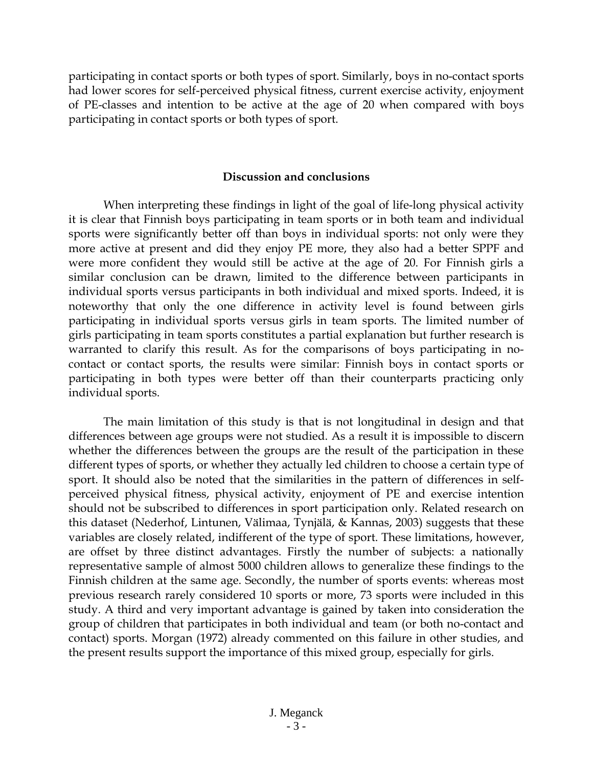participating in contact sports or both types of sport. Similarly, boys in no-contact sports had lower scores for self-perceived physical fitness, current exercise activity, enjoyment of PE-classes and intention to be active at the age of 20 when compared with boys participating in contact sports or both types of sport.

#### **Discussion and conclusions**

When interpreting these findings in light of the goal of life-long physical activity it is clear that Finnish boys participating in team sports or in both team and individual sports were significantly better off than boys in individual sports: not only were they more active at present and did they enjoy PE more, they also had a better SPPF and were more confident they would still be active at the age of 20. For Finnish girls a similar conclusion can be drawn, limited to the difference between participants in individual sports versus participants in both individual and mixed sports. Indeed, it is noteworthy that only the one difference in activity level is found between girls participating in individual sports versus girls in team sports. The limited number of girls participating in team sports constitutes a partial explanation but further research is warranted to clarify this result. As for the comparisons of boys participating in nocontact or contact sports, the results were similar: Finnish boys in contact sports or participating in both types were better off than their counterparts practicing only individual sports.

The main limitation of this study is that is not longitudinal in design and that differences between age groups were not studied. As a result it is impossible to discern whether the differences between the groups are the result of the participation in these different types of sports, or whether they actually led children to choose a certain type of sport. It should also be noted that the similarities in the pattern of differences in selfperceived physical fitness, physical activity, enjoyment of PE and exercise intention should not be subscribed to differences in sport participation only. Related research on this dataset (Nederhof, Lintunen, Välimaa, Tynjälä, & Kannas, 2003) suggests that these variables are closely related, indifferent of the type of sport. These limitations, however, are offset by three distinct advantages. Firstly the number of subjects: a nationally representative sample of almost 5000 children allows to generalize these findings to the Finnish children at the same age. Secondly, the number of sports events: whereas most previous research rarely considered 10 sports or more, 73 sports were included in this study. A third and very important advantage is gained by taken into consideration the group of children that participates in both individual and team (or both no-contact and contact) sports. Morgan (1972) already commented on this failure in other studies, and the present results support the importance of this mixed group, especially for girls.